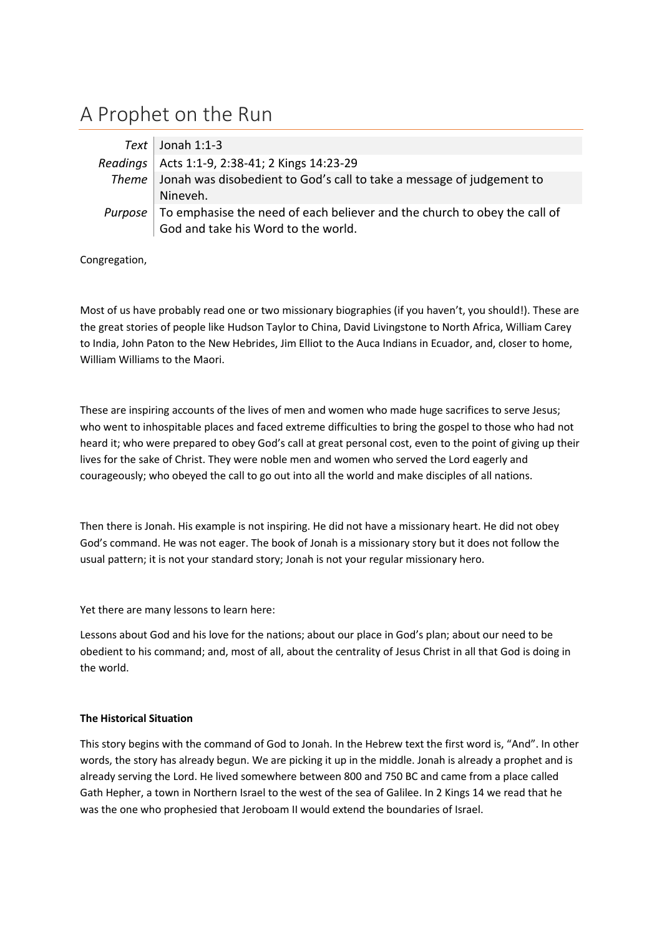## A Prophet on the Run

| $Text$ Jonah 1:1-3                                                                               |
|--------------------------------------------------------------------------------------------------|
| Readings   Acts 1:1-9, 2:38-41; 2 Kings 14:23-29                                                 |
| Theme   Jonah was disobedient to God's call to take a message of judgement to                    |
| Nineveh.                                                                                         |
| <i>Purpose</i> $\vert$ To emphasise the need of each believer and the church to obey the call of |
| God and take his Word to the world.                                                              |

Congregation,

Most of us have probably read one or two missionary biographies (if you haven't, you should!). These are the great stories of people like Hudson Taylor to China, David Livingstone to North Africa, William Carey to India, John Paton to the New Hebrides, Jim Elliot to the Auca Indians in Ecuador, and, closer to home, William Williams to the Maori.

These are inspiring accounts of the lives of men and women who made huge sacrifices to serve Jesus; who went to inhospitable places and faced extreme difficulties to bring the gospel to those who had not heard it; who were prepared to obey God's call at great personal cost, even to the point of giving up their lives for the sake of Christ. They were noble men and women who served the Lord eagerly and courageously; who obeyed the call to go out into all the world and make disciples of all nations.

Then there is Jonah. His example is not inspiring. He did not have a missionary heart. He did not obey God's command. He was not eager. The book of Jonah is a missionary story but it does not follow the usual pattern; it is not your standard story; Jonah is not your regular missionary hero.

Yet there are many lessons to learn here:

Lessons about God and his love for the nations; about our place in God's plan; about our need to be obedient to his command; and, most of all, about the centrality of Jesus Christ in all that God is doing in the world.

## **The Historical Situation**

This story begins with the command of God to Jonah. In the Hebrew text the first word is, "And". In other words, the story has already begun. We are picking it up in the middle. Jonah is already a prophet and is already serving the Lord. He lived somewhere between 800 and 750 BC and came from a place called Gath Hepher, a town in Northern Israel to the west of the sea of Galilee. In 2 Kings 14 we read that he was the one who prophesied that Jeroboam II would extend the boundaries of Israel.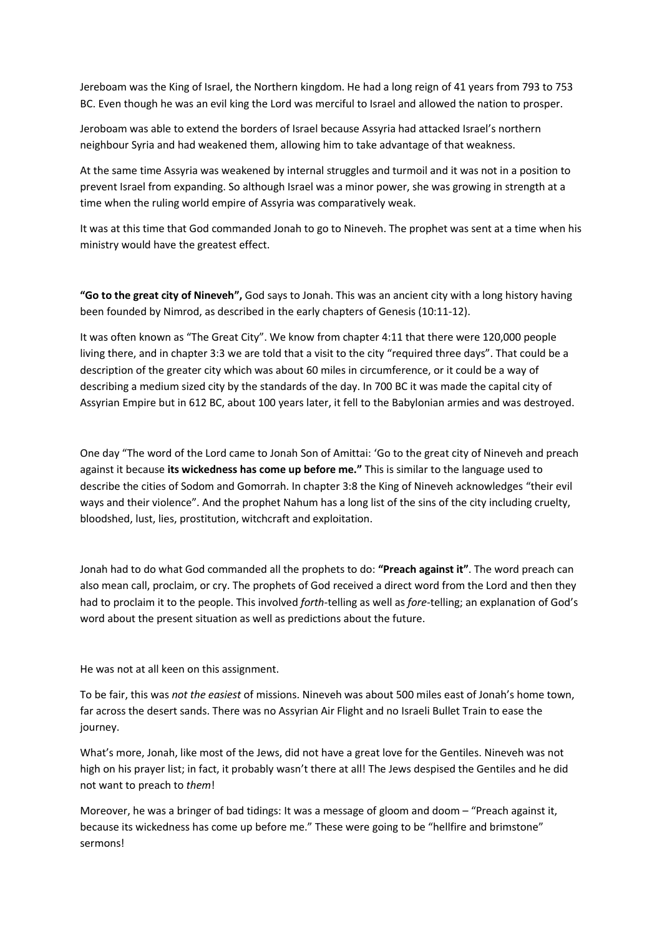Jereboam was the King of Israel, the Northern kingdom. He had a long reign of 41 years from 793 to 753 BC. Even though he was an evil king the Lord was merciful to Israel and allowed the nation to prosper.

Jeroboam was able to extend the borders of Israel because Assyria had attacked Israel's northern neighbour Syria and had weakened them, allowing him to take advantage of that weakness.

At the same time Assyria was weakened by internal struggles and turmoil and it was not in a position to prevent Israel from expanding. So although Israel was a minor power, she was growing in strength at a time when the ruling world empire of Assyria was comparatively weak.

It was at this time that God commanded Jonah to go to Nineveh. The prophet was sent at a time when his ministry would have the greatest effect.

**"Go to the great city of Nineveh",** God says to Jonah. This was an ancient city with a long history having been founded by Nimrod, as described in the early chapters of Genesis (10:11-12).

It was often known as "The Great City". We know from chapter 4:11 that there were 120,000 people living there, and in chapter 3:3 we are told that a visit to the city "required three days". That could be a description of the greater city which was about 60 miles in circumference, or it could be a way of describing a medium sized city by the standards of the day. In 700 BC it was made the capital city of Assyrian Empire but in 612 BC, about 100 years later, it fell to the Babylonian armies and was destroyed.

One day "The word of the Lord came to Jonah Son of Amittai: 'Go to the great city of Nineveh and preach against it because **its wickedness has come up before me."** This is similar to the language used to describe the cities of Sodom and Gomorrah. In chapter 3:8 the King of Nineveh acknowledges "their evil ways and their violence". And the prophet Nahum has a long list of the sins of the city including cruelty, bloodshed, lust, lies, prostitution, witchcraft and exploitation.

Jonah had to do what God commanded all the prophets to do: **"Preach against it"**. The word preach can also mean call, proclaim, or cry. The prophets of God received a direct word from the Lord and then they had to proclaim it to the people. This involved *forth*-telling as well as *fore-*telling; an explanation of God's word about the present situation as well as predictions about the future.

He was not at all keen on this assignment.

To be fair, this was *not the easiest* of missions. Nineveh was about 500 miles east of Jonah's home town, far across the desert sands. There was no Assyrian Air Flight and no Israeli Bullet Train to ease the journey.

What's more, Jonah, like most of the Jews, did not have a great love for the Gentiles. Nineveh was not high on his prayer list; in fact, it probably wasn't there at all! The Jews despised the Gentiles and he did not want to preach to *them*!

Moreover, he was a bringer of bad tidings: It was a message of gloom and doom – "Preach against it, because its wickedness has come up before me." These were going to be "hellfire and brimstone" sermons!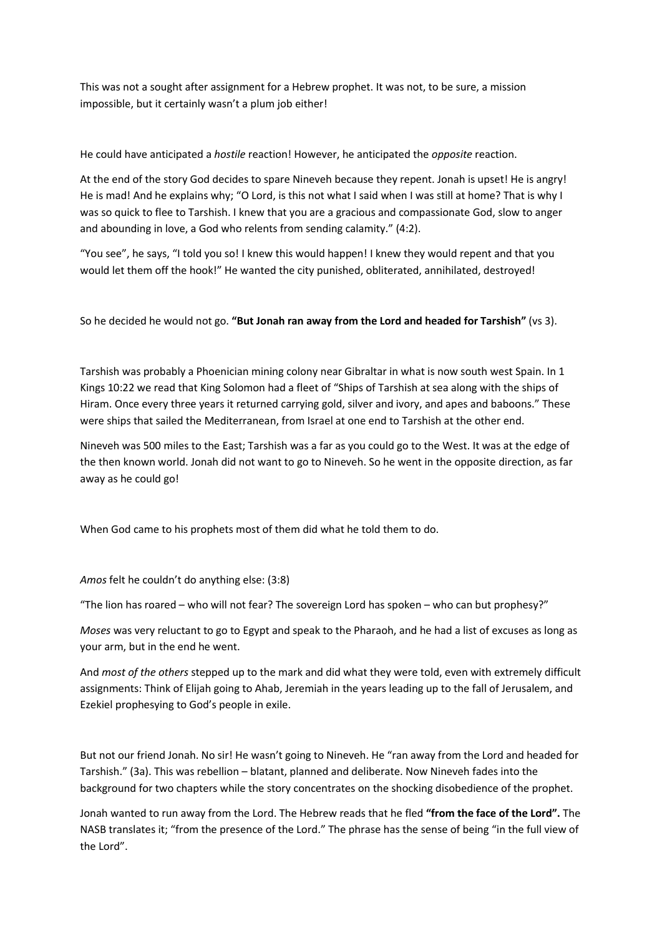This was not a sought after assignment for a Hebrew prophet. It was not, to be sure, a mission impossible, but it certainly wasn't a plum job either!

He could have anticipated a *hostile* reaction! However, he anticipated the *opposite* reaction.

At the end of the story God decides to spare Nineveh because they repent. Jonah is upset! He is angry! He is mad! And he explains why; "O Lord, is this not what I said when I was still at home? That is why I was so quick to flee to Tarshish. I knew that you are a gracious and compassionate God, slow to anger and abounding in love, a God who relents from sending calamity." (4:2).

"You see", he says, "I told you so! I knew this would happen! I knew they would repent and that you would let them off the hook!" He wanted the city punished, obliterated, annihilated, destroyed!

So he decided he would not go. **"But Jonah ran away from the Lord and headed for Tarshish"** (vs 3).

Tarshish was probably a Phoenician mining colony near Gibraltar in what is now south west Spain. In 1 Kings 10:22 we read that King Solomon had a fleet of "Ships of Tarshish at sea along with the ships of Hiram. Once every three years it returned carrying gold, silver and ivory, and apes and baboons." These were ships that sailed the Mediterranean, from Israel at one end to Tarshish at the other end.

Nineveh was 500 miles to the East; Tarshish was a far as you could go to the West. It was at the edge of the then known world. Jonah did not want to go to Nineveh. So he went in the opposite direction, as far away as he could go!

When God came to his prophets most of them did what he told them to do.

*Amos* felt he couldn't do anything else: (3:8)

"The lion has roared – who will not fear? The sovereign Lord has spoken – who can but prophesy?"

*Moses* was very reluctant to go to Egypt and speak to the Pharaoh, and he had a list of excuses as long as your arm, but in the end he went.

And *most of the others* stepped up to the mark and did what they were told, even with extremely difficult assignments: Think of Elijah going to Ahab, Jeremiah in the years leading up to the fall of Jerusalem, and Ezekiel prophesying to God's people in exile.

But not our friend Jonah. No sir! He wasn't going to Nineveh. He "ran away from the Lord and headed for Tarshish." (3a). This was rebellion – blatant, planned and deliberate. Now Nineveh fades into the background for two chapters while the story concentrates on the shocking disobedience of the prophet.

Jonah wanted to run away from the Lord. The Hebrew reads that he fled **"from the face of the Lord".** The NASB translates it; "from the presence of the Lord." The phrase has the sense of being "in the full view of the Lord".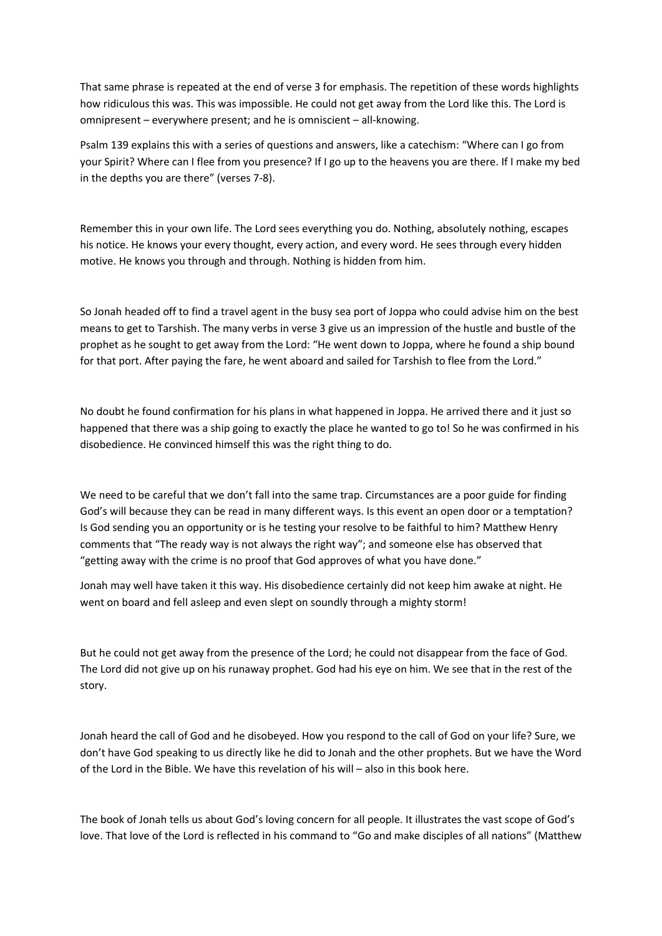That same phrase is repeated at the end of verse 3 for emphasis. The repetition of these words highlights how ridiculous this was. This was impossible. He could not get away from the Lord like this. The Lord is omnipresent – everywhere present; and he is omniscient – all-knowing.

Psalm 139 explains this with a series of questions and answers, like a catechism: "Where can I go from your Spirit? Where can I flee from you presence? If I go up to the heavens you are there. If I make my bed in the depths you are there" (verses 7-8).

Remember this in your own life. The Lord sees everything you do. Nothing, absolutely nothing, escapes his notice. He knows your every thought, every action, and every word. He sees through every hidden motive. He knows you through and through. Nothing is hidden from him.

So Jonah headed off to find a travel agent in the busy sea port of Joppa who could advise him on the best means to get to Tarshish. The many verbs in verse 3 give us an impression of the hustle and bustle of the prophet as he sought to get away from the Lord: "He went down to Joppa, where he found a ship bound for that port. After paying the fare, he went aboard and sailed for Tarshish to flee from the Lord."

No doubt he found confirmation for his plans in what happened in Joppa. He arrived there and it just so happened that there was a ship going to exactly the place he wanted to go to! So he was confirmed in his disobedience. He convinced himself this was the right thing to do.

We need to be careful that we don't fall into the same trap. Circumstances are a poor guide for finding God's will because they can be read in many different ways. Is this event an open door or a temptation? Is God sending you an opportunity or is he testing your resolve to be faithful to him? Matthew Henry comments that "The ready way is not always the right way"; and someone else has observed that "getting away with the crime is no proof that God approves of what you have done."

Jonah may well have taken it this way. His disobedience certainly did not keep him awake at night. He went on board and fell asleep and even slept on soundly through a mighty storm!

But he could not get away from the presence of the Lord; he could not disappear from the face of God. The Lord did not give up on his runaway prophet. God had his eye on him. We see that in the rest of the story.

Jonah heard the call of God and he disobeyed. How you respond to the call of God on your life? Sure, we don't have God speaking to us directly like he did to Jonah and the other prophets. But we have the Word of the Lord in the Bible. We have this revelation of his will – also in this book here.

The book of Jonah tells us about God's loving concern for all people. It illustrates the vast scope of God's love. That love of the Lord is reflected in his command to "Go and make disciples of all nations" (Matthew